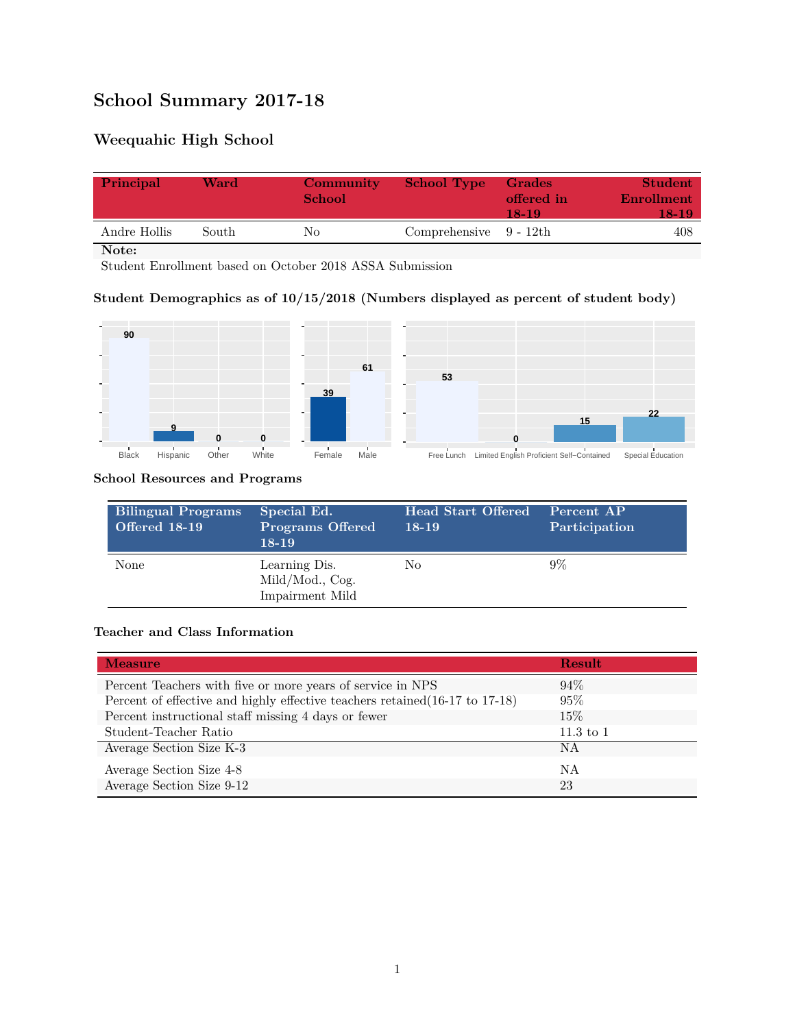# **School Summary 2017-18**

# **Weequahic High School**

| Principal    | Ward  | <b>Community</b><br><b>School</b> | <b>School Type</b>        | Grades<br>offered in<br>18-19 | <b>Student</b><br>Enrollment<br>18-19 |
|--------------|-------|-----------------------------------|---------------------------|-------------------------------|---------------------------------------|
| Andre Hollis | South | Nο                                | Comprehensive $9 - 12$ th |                               | 408                                   |

**Note:**

Student Enrollment based on October 2018 ASSA Submission

## **Student Demographics as of 10/15/2018 (Numbers displayed as percent of student body)**



#### **School Resources and Programs**

| <b>Bilingual Programs</b><br><b>Offered 18-19</b> | Special Ed.<br><b>Programs Offered</b><br>$18-19$   | <b>Head Start Offered</b><br>18-19 | Percent AP<br>Participation |
|---------------------------------------------------|-----------------------------------------------------|------------------------------------|-----------------------------|
| None                                              | Learning Dis.<br>Mild/Mod., Cog.<br>Impairment Mild | No                                 | $9\%$                       |

### **Teacher and Class Information**

| <b>Measure</b>                                                               | <b>Result</b> |
|------------------------------------------------------------------------------|---------------|
| Percent Teachers with five or more years of service in NPS                   | $94\%$        |
| Percent of effective and highly effective teachers retained (16-17 to 17-18) | 95%           |
| Percent instructional staff missing 4 days or fewer                          | 15%           |
| Student-Teacher Ratio                                                        | $11.3$ to 1   |
| Average Section Size K-3                                                     | ΝA            |
| Average Section Size 4-8                                                     | ΝA            |
| Average Section Size 9-12                                                    | 23            |